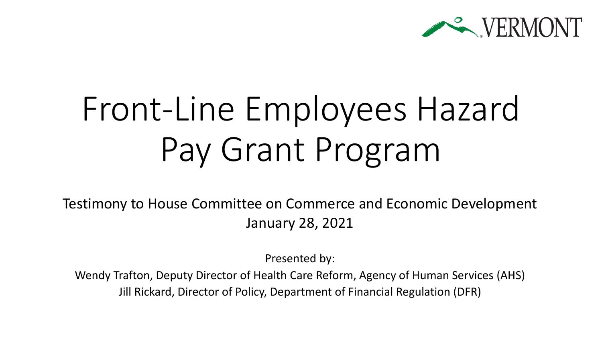

# Front-Line Employees Hazard Pay Grant Program

Testimony to House Committee on Commerce and Economic Development January 28, 2021

Presented by:

Wendy Trafton, Deputy Director of Health Care Reform, Agency of Human Services (AHS) Jill Rickard, Director of Policy, Department of Financial Regulation (DFR)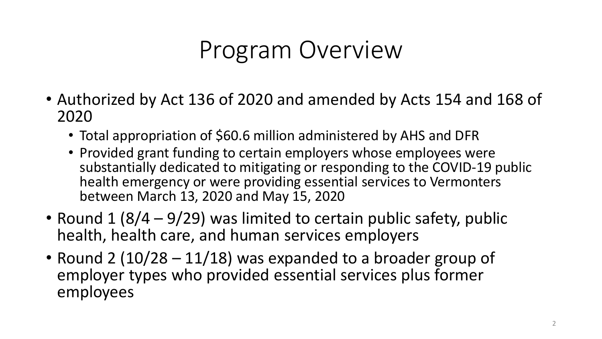### Program Overview

- Authorized by Act 136 of 2020 and amended by Acts 154 and 168 of 2020
	- Total appropriation of \$60.6 million administered by AHS and DFR
	- Provided grant funding to certain employers whose employees were substantially dedicated to mitigating or responding to the COVID-19 public health emergency or were providing essential services to Vermonters between March 13, 2020 and May 15, 2020
- Round 1 (8/4 9/29) was limited to certain public safety, public health, health care, and human services employers
- Round 2 (10/28 11/18) was expanded to a broader group of employer types who provided essential services plus former employees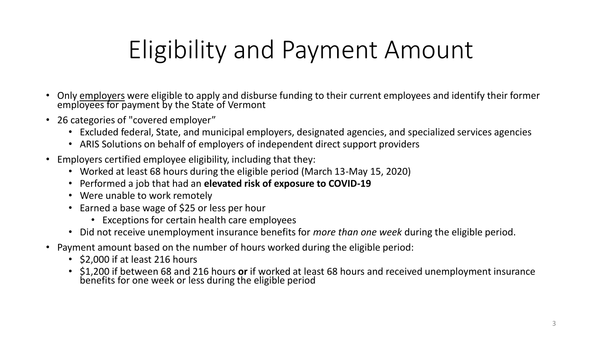# Eligibility and Payment Amount

- Only employers were eligible to apply and disburse funding to their current employees and identify their former employees for payment by the State of Vermont
- 26 categories of "covered employer"
	- Excluded federal, State, and municipal employers, designated agencies, and specialized services agencies
	- ARIS Solutions on behalf of employers of independent direct support providers
- Employers certified employee eligibility, including that they:
	- Worked at least 68 hours during the eligible period (March 13-May 15, 2020)
	- Performed a job that had an **elevated risk of exposure to COVID-19**
	- Were unable to work remotely
	- Earned a base wage of \$25 or less per hour
		- Exceptions for certain health care employees
	- Did not receive unemployment insurance benefits for *more than one week* during the eligible period.
- Payment amount based on the number of hours worked during the eligible period:
	- \$2,000 if at least 216 hours
	- \$1,200 if between 68 and 216 hours **or** if worked at least 68 hours and received unemployment insurance benefits for one week or less during the eligible period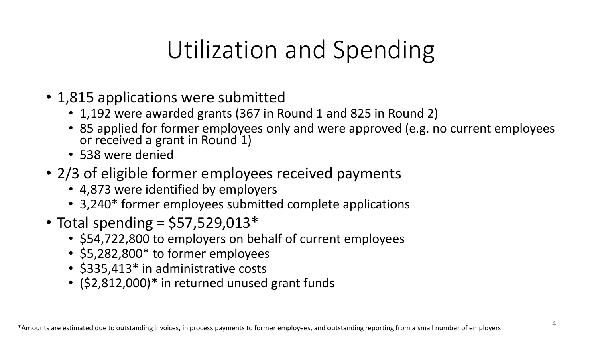## Utilization and Spending

- 1,815 applications were submitted
	- 1,192 were awarded grants (367 in Round 1 and 825 in Round 2)
	- 85 applied for former employees only and were approved (e.g. no current employees or received a grant in Round 1)
	- 538 were denied
- 2/3 of eligible former employees received payments
	- 4,873 were identified by employers
	- 3,240\* former employees submitted complete applications
- Total spending =  $$57,529,013*$ 
	- \$54,722,800 to employers on behalf of current employees
	- \$5,282,800\* to former employees
	- \$335,413\* in administrative costs
	- (\$2,812,000)\* in returned unused grant funds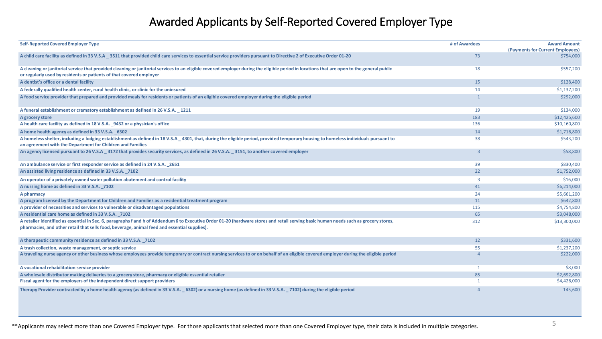#### Awarded Applicants by Self-Reported Covered Employer Type

| <b>Self-Reported Covered Employer Type</b>                                                                                                                                                                                                                                            | # of Awardees           | <b>Award Amount</b><br>(Payments for Current Employees) |
|---------------------------------------------------------------------------------------------------------------------------------------------------------------------------------------------------------------------------------------------------------------------------------------|-------------------------|---------------------------------------------------------|
| A child care facility as defined in 33 V.S.A 3511 that provided child care services to essential service providers pursuant to Directive 2 of Executive Order 01-20                                                                                                                   | 73                      | \$754,000                                               |
| A cleaning or janitorial service that provided cleaning or janitorial services to an eligible covered employer during the eligible period in locations that are open to the general public<br>or regularly used by residents or patients of that covered employer                     | 18                      | \$557,200                                               |
| A dentist's office or a dental facility                                                                                                                                                                                                                                               | 15                      | \$128,400                                               |
| A federally qualified health center, rural health clinic, or clinic for the uninsured                                                                                                                                                                                                 | 14                      | \$1,137,200                                             |
| A food service provider that prepared and provided meals for residents or patients of an eligible covered employer during the eligible period                                                                                                                                         |                         | \$292,000                                               |
| A funeral establishment or crematory establishment as defined in 26 V.S.A. _ 1211                                                                                                                                                                                                     | 19                      | \$134,000                                               |
| A grocery store                                                                                                                                                                                                                                                                       | 183                     | \$12,425,600                                            |
| A health care facility as defined in 18 V.S.A. 9432 or a physician's office                                                                                                                                                                                                           | 136                     | \$10,160,800                                            |
| A home health agency as defined in 33 V.S.A. 6302                                                                                                                                                                                                                                     | 14                      | \$1,716,800                                             |
| A homeless shelter, including a lodging establishment as defined in 18 V.S.A _ 4301, that, during the eligible period, provided temporary housing to homeless individuals pursuant to<br>an agreement with the Department for Children and Families                                   | 38                      | \$543,200                                               |
| An agency licensed pursuant to 26 V.S.A _ 3172 that provides security services, as defined in 26 V.S.A. _ 3151, to another covered employer                                                                                                                                           | $\overline{3}$          | \$58,800                                                |
| An ambulance service or first responder service as defined in 24 V.S.A. 2651                                                                                                                                                                                                          | 39                      | \$830,400                                               |
| An assisted living residence as defined in 33 V.S.A. 7102                                                                                                                                                                                                                             | 22                      | \$1,752,000                                             |
| An operator of a privately owned water pollution abatement and control facility                                                                                                                                                                                                       | $\overline{\mathbf{3}}$ | \$16,000                                                |
| A nursing home as defined in 33 V.S.A. 7102                                                                                                                                                                                                                                           | 41                      | \$6,214,000                                             |
| A pharmacy                                                                                                                                                                                                                                                                            | 24                      | \$5,661,200                                             |
| A program licensed by the Department for Children and Families as a residential treatment program                                                                                                                                                                                     | 11                      | \$642,800                                               |
| A provider of necessities and services to vulnerable or disadvantaged populations                                                                                                                                                                                                     | 115                     | \$4,754,800                                             |
| A residential care home as defined in 33 V.S.A. 7102                                                                                                                                                                                                                                  | 65                      | \$3,048,000                                             |
| A retailer identified as essential in Sec. 6, paragraphs f and h of Addendum 6 to Executive Order 01-20 (hardware stores and retail serving basic human needs such as grocery stores,<br>pharmacies, and other retail that sells food, beverage, animal feed and essential supplies). | 312                     | \$13,300,000                                            |
| A therapeutic community residence as defined in 33 V.S.A. 7102                                                                                                                                                                                                                        | 12                      | \$331,600                                               |
| A trash collection, waste management, or septic service                                                                                                                                                                                                                               | 55                      | \$1,237,200                                             |
| A traveling nurse agency or other business whose employees provide temporary or contract nursing services to or on behalf of an eligible covered employer during the eligible period                                                                                                  |                         | \$222,000                                               |
| A vocational rehabilitation service provider                                                                                                                                                                                                                                          | $\mathbf{1}$            | \$8,000                                                 |
| A wholesale distributor making deliveries to a grocery store, pharmacy or eligible essential retailer                                                                                                                                                                                 | 85                      | \$2,692,800                                             |
| Fiscal agent for the employers of the independent direct support providers                                                                                                                                                                                                            |                         | \$4,426,000                                             |
| Therapy Provider contracted by a home health agency (as defined in 33 V.S.A. _ 6302) or a nursing home (as defined in 33 V.S.A. _ 7102) during the eligible period                                                                                                                    | Δ                       | 145,600                                                 |

\*\*Applicants may select more than one Covered Employer type. For those applicants that selected more than one Covered Employer type, their data is included in multiple categories.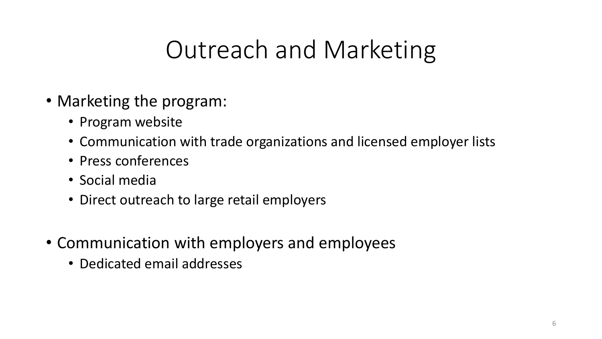### Outreach and Marketing

- Marketing the program:
	- Program website
	- Communication with trade organizations and licensed employer lists
	- Press conferences
	- Social media
	- Direct outreach to large retail employers
- Communication with employers and employees
	- Dedicated email addresses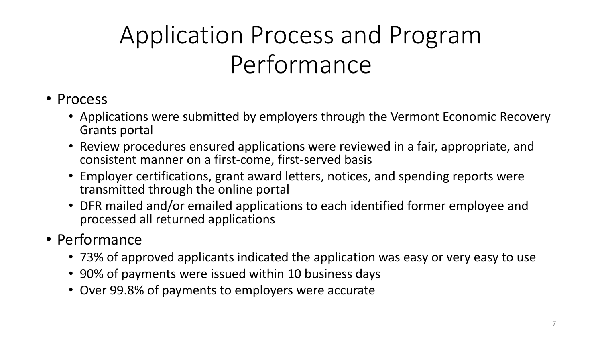# Application Process and Program Performance

#### • Process

- Applications were submitted by employers through the Vermont Economic Recovery Grants portal
- Review procedures ensured applications were reviewed in a fair, appropriate, and consistent manner on a first-come, first-served basis
- Employer certifications, grant award letters, notices, and spending reports were transmitted through the online portal
- DFR mailed and/or emailed applications to each identified former employee and processed all returned applications
- Performance
	- 73% of approved applicants indicated the application was easy or very easy to use
	- 90% of payments were issued within 10 business days
	- Over 99.8% of payments to employers were accurate